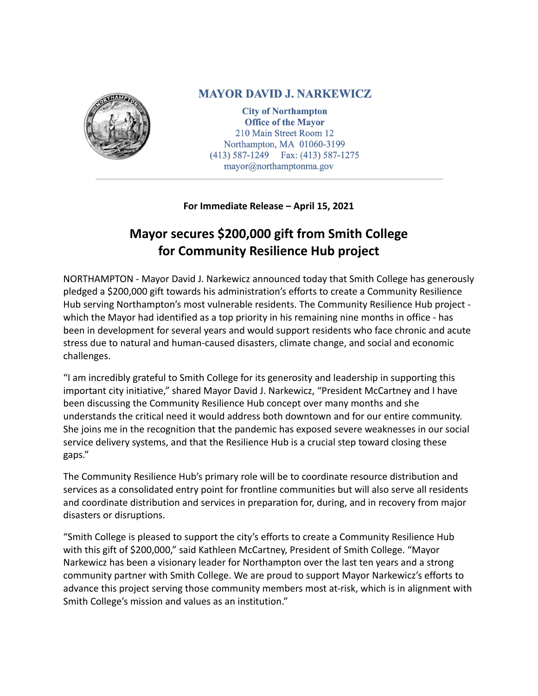

## **MAYOR DAVID J. NARKEWICZ**

**City of Northampton Office of the Mayor** 210 Main Street Room 12 Northampton, MA 01060-3199 (413) 587-1249 Fax: (413) 587-1275 mayor@northamptonma.gov

## **For Immediate Release – April 15, 2021**

## **Mayor secures \$200,000 gift from Smith College for Community Resilience Hub project**

NORTHAMPTON - Mayor David J. Narkewicz announced today that Smith College has generously pledged a \$200,000 gift towards his administration's efforts to create a Community Resilience Hub serving Northampton's most vulnerable residents. The Community Resilience Hub project which the Mayor had identified as a top priority in his remaining nine months in office - has been in development for several years and would support residents who face chronic and acute stress due to natural and human-caused disasters, climate change, and social and economic challenges.

"I am incredibly grateful to Smith College for its generosity and leadership in supporting this important city initiative," shared Mayor David J. Narkewicz, "President McCartney and I have been discussing the Community Resilience Hub concept over many months and she understands the critical need it would address both downtown and for our entire community. She joins me in the recognition that the pandemic has exposed severe weaknesses in our social service delivery systems, and that the Resilience Hub is a crucial step toward closing these gaps."

The Community Resilience Hub's primary role will be to coordinate resource distribution and services as a consolidated entry point for frontline communities but will also serve all residents and coordinate distribution and services in preparation for, during, and in recovery from major disasters or disruptions.

"Smith College is pleased to support the city's efforts to create a Community Resilience Hub with this gift of \$200,000," said Kathleen McCartney, President of Smith College. "Mayor Narkewicz has been a visionary leader for Northampton over the last ten years and a strong community partner with Smith College. We are proud to support Mayor Narkewicz's efforts to advance this project serving those community members most at-risk, which is in alignment with Smith College's mission and values as an institution."